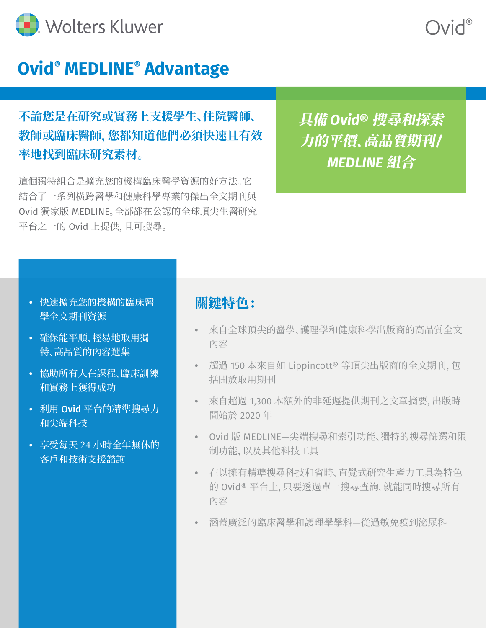

### **Ovid® MEDLINE® Advantage**

**不論您是在研究或實務上支援學生、住院醫師、 教師或臨床醫師,您都知道他們必須快速且有效 率地找到臨床研究素材。**

這個獨特組合是擴充您的機構臨床醫學資源的好方法。它 結合了一系列橫跨醫學和健康科學專業的傑出全文期刊與 Ovid 獨家版 MEDLINE。全部都在公認的全球頂尖生醫研究 平台之一的 Ovid 上提供,且可搜尋。

具備 *Ovid®* 搜尋和探索 力的平價、高品質期刊*/ MEDLINE* 組合

#### **•** 快速擴充您的機構的臨床醫 學全文期刊資源

- **•** 確保能平順、輕易地取用獨 特、高品質的內容選集
- **•** 協助所有人在課程、臨床訓練 和實務上獲得成功
- **•** 利用 Ovid 平台的精準搜尋力 和尖端科技
- **•** 享受每天 24 小時全年無休的 客戶和技術支援諮詢

### 關鍵特色:

- **•** 來自全球頂尖的醫學、護理學和健康科學出版商的高品質全文 內容
- **•** 超過 150 本來自如 Lippincott® 等頂尖出版商的全文期刊,包 括開放取用期刊
- **•** 來自超過 1,300 本額外的非延遲提供期刊之文章摘要,出版時 間始於 2020 年
- **•** Ovid 版 MEDLINE—尖端搜尋和索引功能、獨特的搜尋篩選和限 制功能,以及其他科技工具
- **•** 在以擁有精準搜尋科技和省時、直覺式研究生產力工具為特色 的 Ovid® 平台上,只要透過單一搜尋查詢,就能同時搜尋所有 內容
- **•** 涵蓋廣泛的臨床醫學和護理學學科—從過敏免疫到泌尿科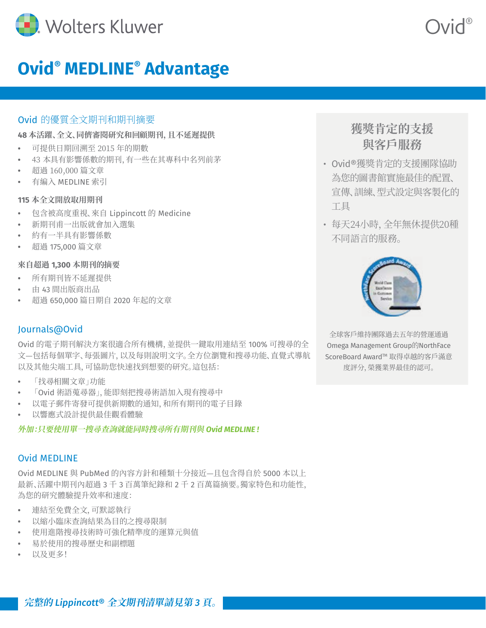

## **Ovid® MEDLINE® Advantage**

#### Ovid 的優質全文期刊和期刊摘要

#### **48 本活躍、全文、同儕審閱研究和回顧期刊,且不延遲提供**

- **•** 可提供日期回溯至 2015 年的期數
- **•** 43 本具有影響係數的期刊,有一些在其專科中名列前茅
- **•** 超過 160,000 篇文章
- **•** 有編入 MEDLINE 索引

#### **115 本全文開放取用期刊**

- **•** 包含被高度重視、來自 Lippincott 的 Medicine
- **•** 新期刊甫一出版就會加入選集
- **•** 約有一半具有影響係數
- **•** 超過 175,000 篇文章

#### **來自超過 1,300 本期刊的摘要**

- **•** 所有期刊皆不延遲提供
- **•** 由 43 間出版商出品
- **•** 超過 650,000 篇日期自 2020 年起的文章

#### Journals@Ovid

Ovid 的電子期刊解決方案很適合所有機構,並提供一鍵取用連結至 100% 可搜尋的全 文—包括每個單字、每張圖片,以及每則說明文字。全方位瀏覽和搜尋功能、直覺式導航 以及其他尖端工具,可協助您快速找到想要的研究。這包括:

- **•** 「找尋相關文章」功能
- **•** 「Ovid 術語蒐尋器」,能即刻把搜尋術語加入現有搜尋中
- **•** 以電子郵件寄發可提供新期數的通知,和所有期刊的電子目錄
- **•** 以響應式設計提供最佳觀看體驗

#### **外加:只要使用單一搜尋查詢就能同時搜尋所有期刊與** *Ovid MEDLINE !*

#### Ovid MEDLINE

Ovid MEDLINE 與 PubMed 的內容方針和種類十分接近—且包含得自於 5000 本以上 最新、活躍中期刊內超過 3 千 3 百萬筆紀錄和 2 千 2 百萬篇摘要。獨家特色和功能性, 為您的研究體驗提升效率和速度:

- **•** 連結至免費全文,可默認執行
- **•** 以縮小臨床查詢結果為目的之搜尋限制
- **•** 使用進階搜尋技術時可強化精準度的運算元與值
- **•** 易於使用的搜尋歷史和副標題
- **•** 以及更多!

### **獲獎肯定的支援 與客戶服務**

Ovid®

- Ovid®獲獎肯定的支援團隊協助 為您的圖書館實施最佳的配置、 宣傳、訓練、型式設定與客製化的 工具
- 每天24小時,全年無休提供20種 不同語言的服務。



全球客戶維持團隊過去五年的營運通過 Omega Management Group的NorthFace ScoreBoard Award™ 取得卓越的客戶滿意 度評分,榮獲業界最佳的認可。